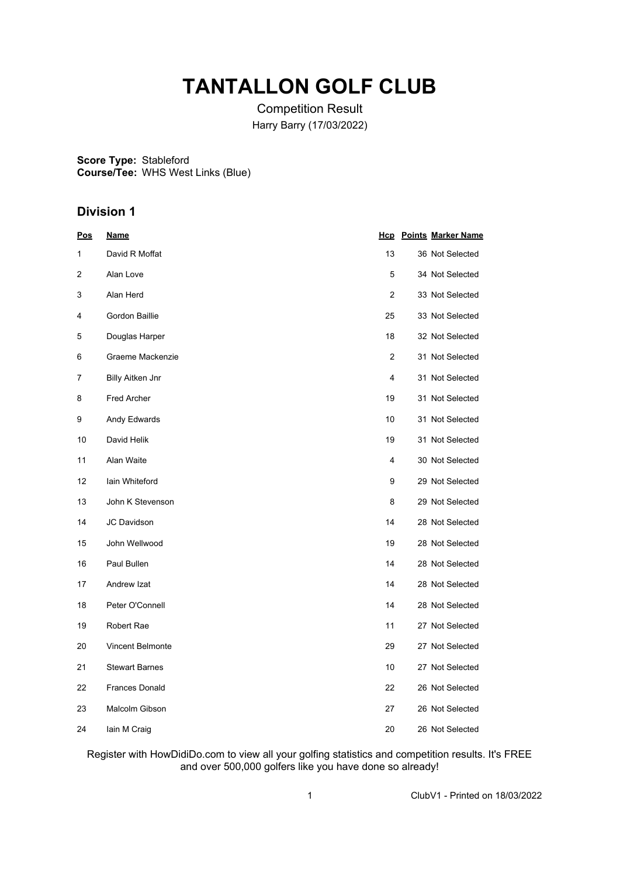## **TANTALLON GOLF CLUB**

Competition Result Harry Barry (17/03/2022)

**Score Type: Course/Tee:** Stableford WHS West Links (Blue)

### **Division 1**

| <u>Pos</u> | <u>Name</u>             |                | <b>Hcp</b> Points Marker Name |
|------------|-------------------------|----------------|-------------------------------|
| 1          | David R Moffat          | 13             | 36 Not Selected               |
| 2          | Alan Love               | 5              | 34 Not Selected               |
| 3          | Alan Herd               | $\overline{2}$ | 33 Not Selected               |
| 4          | Gordon Baillie          | 25             | 33 Not Selected               |
| 5          | Douglas Harper          | 18             | 32 Not Selected               |
| 6          | Graeme Mackenzie        | 2              | 31 Not Selected               |
| 7          | <b>Billy Aitken Jnr</b> | 4              | 31 Not Selected               |
| 8          | <b>Fred Archer</b>      | 19             | 31 Not Selected               |
| 9          | Andy Edwards            | 10             | 31 Not Selected               |
| 10         | David Helik             | 19             | 31 Not Selected               |
| 11         | Alan Waite              | 4              | 30 Not Selected               |
| 12         | lain Whiteford          | 9              | 29 Not Selected               |
| 13         | John K Stevenson        | 8              | 29 Not Selected               |
| 14         | JC Davidson             | 14             | 28 Not Selected               |
| 15         | John Wellwood           | 19             | 28 Not Selected               |
| 16         | Paul Bullen             | 14             | 28 Not Selected               |
| 17         | Andrew Izat             | 14             | 28 Not Selected               |
| 18         | Peter O'Connell         | 14             | 28 Not Selected               |
| 19         | Robert Rae              | 11             | 27 Not Selected               |
| 20         | <b>Vincent Belmonte</b> | 29             | 27 Not Selected               |
| 21         | <b>Stewart Barnes</b>   | 10             | 27 Not Selected               |
| 22         | <b>Frances Donald</b>   | 22             | 26 Not Selected               |
| 23         | Malcolm Gibson          | 27             | 26 Not Selected               |
| 24         | lain M Craig            | 20             | 26 Not Selected               |

Register with HowDidiDo.com to view all your golfing statistics and competition results. It's FREE and over 500,000 golfers like you have done so already!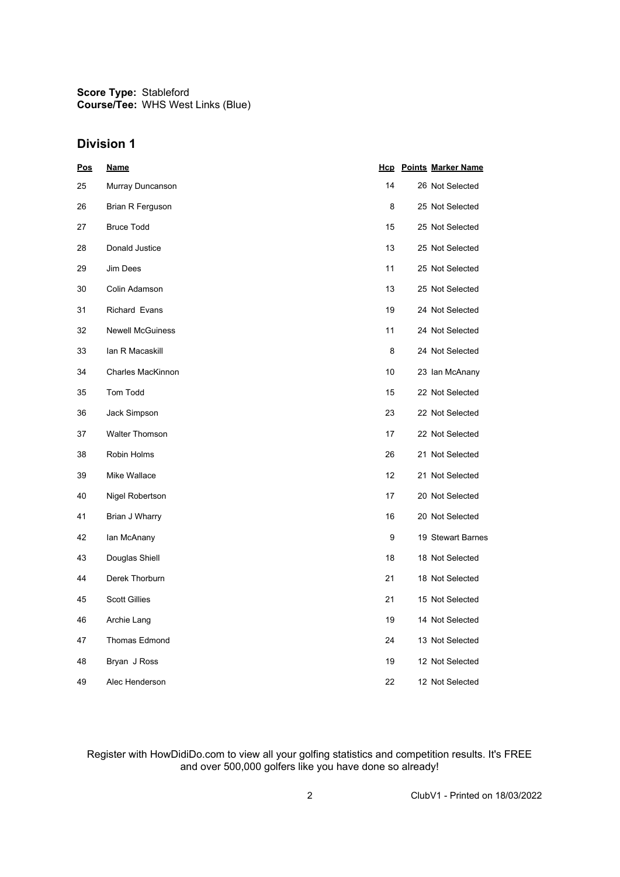**Score Type:** Stableford **Course/Tee:** WHS West Links (Blue)

#### **Division 1**

| <u>Pos</u> | <u>Name</u>             |    | <b>Hcp</b> Points Marker Name |
|------------|-------------------------|----|-------------------------------|
| 25         | Murray Duncanson        | 14 | 26 Not Selected               |
| 26         | Brian R Ferguson        | 8  | 25 Not Selected               |
| 27         | <b>Bruce Todd</b>       | 15 | 25 Not Selected               |
| 28         | Donald Justice          | 13 | 25 Not Selected               |
| 29         | Jim Dees                | 11 | 25 Not Selected               |
| 30         | Colin Adamson           | 13 | 25 Not Selected               |
| 31         | Richard Evans           | 19 | 24 Not Selected               |
| 32         | <b>Newell McGuiness</b> | 11 | 24 Not Selected               |
| 33         | lan R Macaskill         | 8  | 24 Not Selected               |
| 34         | Charles MacKinnon       | 10 | 23 Ian McAnany                |
| 35         | Tom Todd                | 15 | 22 Not Selected               |
| 36         | Jack Simpson            | 23 | 22 Not Selected               |
| 37         | <b>Walter Thomson</b>   | 17 | 22 Not Selected               |
| 38         | Robin Holms             | 26 | 21 Not Selected               |
| 39         | Mike Wallace            | 12 | 21 Not Selected               |
| 40         | Nigel Robertson         | 17 | 20 Not Selected               |
| 41         | Brian J Wharry          | 16 | 20 Not Selected               |
| 42         | lan McAnany             | 9  | 19 Stewart Barnes             |
| 43         | Douglas Shiell          | 18 | 18 Not Selected               |
| 44         | Derek Thorburn          | 21 | 18 Not Selected               |
| 45         | <b>Scott Gillies</b>    | 21 | 15 Not Selected               |
| 46         | Archie Lang             | 19 | 14 Not Selected               |
| 47         | Thomas Edmond           | 24 | 13 Not Selected               |
| 48         | Bryan J Ross            | 19 | 12 Not Selected               |
| 49         | Alec Henderson          | 22 | 12 Not Selected               |

Register with HowDidiDo.com to view all your golfing statistics and competition results. It's FREE and over 500,000 golfers like you have done so already!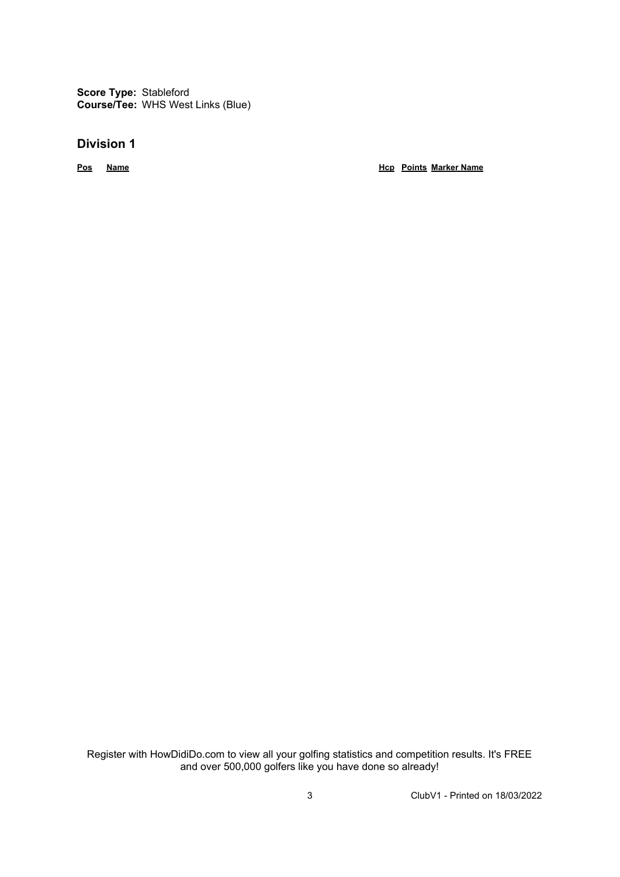**Score Type:** Stableford **Course/Tee:** WHS West Links (Blue)

#### **Division 1**

**Pos Name Hcp Points Marker Name**

Register with HowDidiDo.com to view all your golfing statistics and competition results. It's FREE and over 500,000 golfers like you have done so already!